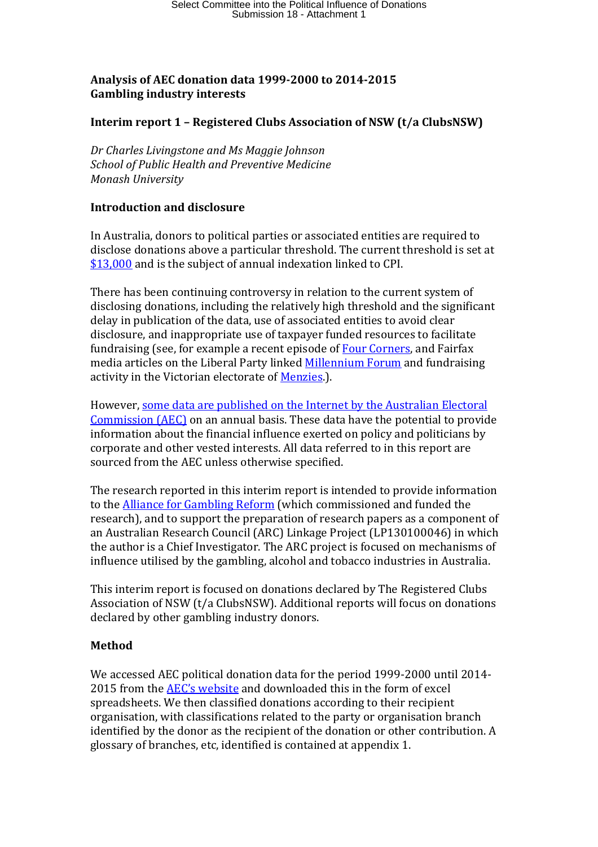#### **Analysis of AEC donation data 1999-2000 to 2014-2015 Gambling industry interests**

#### **Interim report 1 – Registered Clubs Association of NSW (t/a ClubsNSW)**

*Dr Charles Livingstone and Ms Maggie Johnson School of Public Health and Preventive Medicine Monash University*

#### **Introduction and disclosure**

In Australia, donors to political parties or associated entities are required to disclose donations above a particular threshold. The current threshold is set at [\\$13,000](http://www.aec.gov.au/Parties_and_Representatives/public_funding/threshold.htm) and is the subject of annual indexation linked to CPI.

There has been continuing controversy in relation to the current system of disclosing donations, including the relatively high threshold and the significant delay in publication of the data, use of associated entities to avoid clear disclosure, and inappropriate use of taxpayer funded resources to facilitate fundraising (see, for example a recent episode o[f Four Corners,](http://www.abc.net.au/4corners/stories/2016/05/23/4465448.htm) and Fairfax media articles on the Liberal Party linke[d Millennium Forum](http://www.smh.com.au/nsw/nsw-liberals-launch-fundraising-body-to-replace-discredited-millennium-forum-20140725-zwppv.html) and fundraising activity in the Victorian electorate of **Menzies**.).

However[, some data are published on the Internet](http://www.aec.gov.au/Parties_and_Representatives/financial_disclosure/index.htm) by the Australian Electoral [Commission \(AEC\)](http://www.aec.gov.au/Parties_and_Representatives/financial_disclosure/index.htm) on an annual basis. These data have the potential to provide information about the financial influence exerted on policy and politicians by corporate and other vested interests. All data referred to in this report are sourced from the AEC unless otherwise specified.

The research reported in this interim report is intended to provide information to the [Alliance for Gambling Reform](http://www.pokiesplayyou.org.au/) (which commissioned and funded the research), and to support the preparation of research papers as a component of an Australian Research Council (ARC) Linkage Project (LP130100046) in which the author is a Chief Investigator. The ARC project is focused on mechanisms of influence utilised by the gambling, alcohol and tobacco industries in Australia.

This interim report is focused on donations declared by The Registered Clubs Association of NSW (t/a ClubsNSW). Additional reports will focus on donations declared by other gambling industry donors.

#### **Method**

We accessed AEC political donation data for the period 1999-2000 until 2014- 2015 from the [AEC's website](http://periodicdisclosures.aec.gov.au/Donor.aspx?SubmissionId=56&ClientId=16043) and downloaded this in the form of excel spreadsheets. We then classified donations according to their recipient organisation, with classifications related to the party or organisation branch identified by the donor as the recipient of the donation or other contribution. A glossary of branches, etc, identified is contained at appendix 1.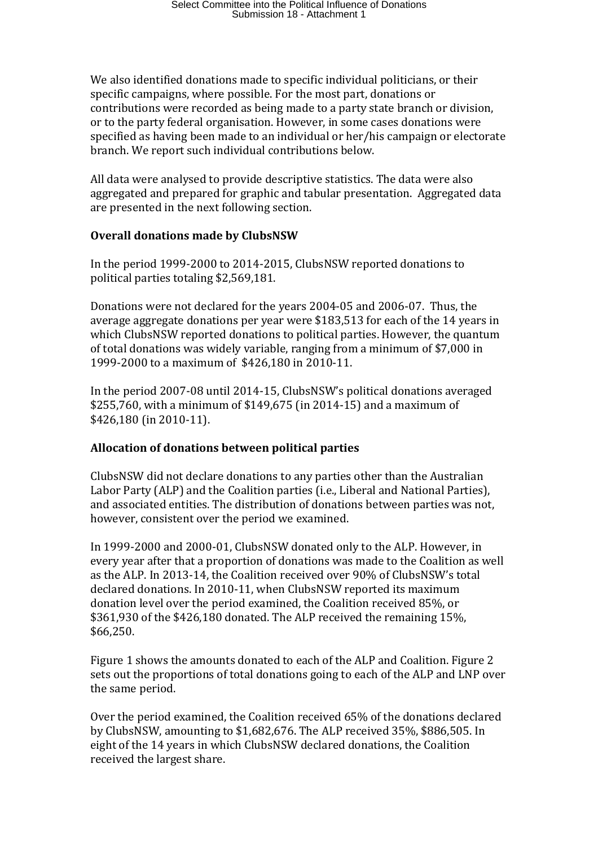We also identified donations made to specific individual politicians, or their specific campaigns, where possible. For the most part, donations or contributions were recorded as being made to a party state branch or division, or to the party federal organisation. However, in some cases donations were specified as having been made to an individual or her/his campaign or electorate branch. We report such individual contributions below.

All data were analysed to provide descriptive statistics. The data were also aggregated and prepared for graphic and tabular presentation. Aggregated data are presented in the next following section.

#### **Overall donations made by ClubsNSW**

In the period 1999-2000 to 2014-2015, ClubsNSW reported donations to political parties totaling \$2,569,181.

Donations were not declared for the years 2004-05 and 2006-07. Thus, the average aggregate donations per year were \$183,513 for each of the 14 years in which ClubsNSW reported donations to political parties. However, the quantum of total donations was widely variable, ranging from a minimum of \$7,000 in 1999-2000 to a maximum of \$426,180 in 2010-11.

In the period 2007-08 until 2014-15, ClubsNSW's political donations averaged \$255,760, with a minimum of \$149,675 (in 2014-15) and a maximum of \$426,180 (in 2010-11).

## **Allocation of donations between political parties**

ClubsNSW did not declare donations to any parties other than the Australian Labor Party (ALP) and the Coalition parties (i.e., Liberal and National Parties), and associated entities. The distribution of donations between parties was not, however, consistent over the period we examined.

In 1999-2000 and 2000-01, ClubsNSW donated only to the ALP. However, in every year after that a proportion of donations was made to the Coalition as well as the ALP. In 2013-14, the Coalition received over 90% of ClubsNSW's total declared donations. In 2010-11, when ClubsNSW reported its maximum donation level over the period examined, the Coalition received 85%, or \$361,930 of the \$426,180 donated. The ALP received the remaining 15%, \$66,250.

Figure 1 shows the amounts donated to each of the ALP and Coalition. Figure 2 sets out the proportions of total donations going to each of the ALP and LNP over the same period.

Over the period examined, the Coalition received 65% of the donations declared by ClubsNSW, amounting to \$1,682,676. The ALP received 35%, \$886,505. In eight of the 14 years in which ClubsNSW declared donations, the Coalition received the largest share.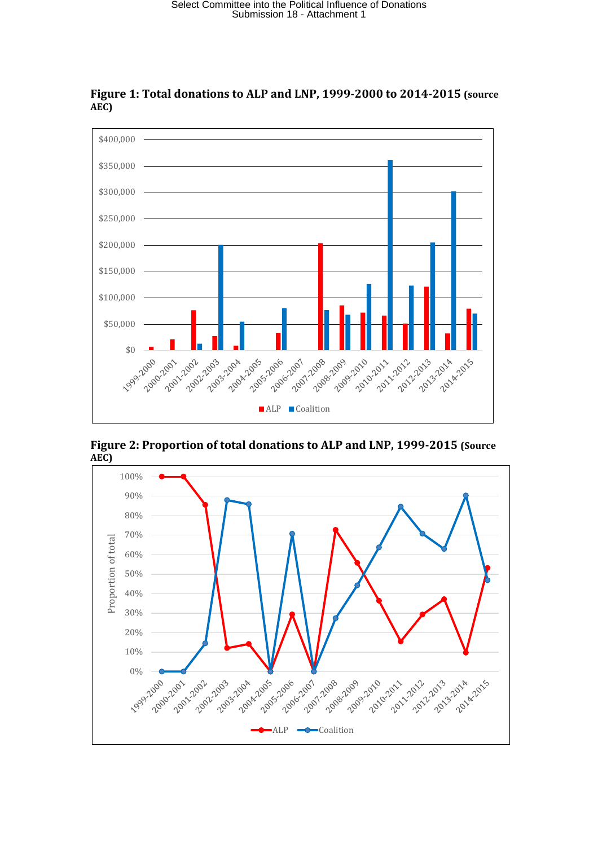

**Figure 1: Total donations to ALP and LNP, 1999-2000 to 2014-2015 (source AEC)**

**Figure 2: Proportion of total donations to ALP and LNP, 1999-2015 (Source AEC)**

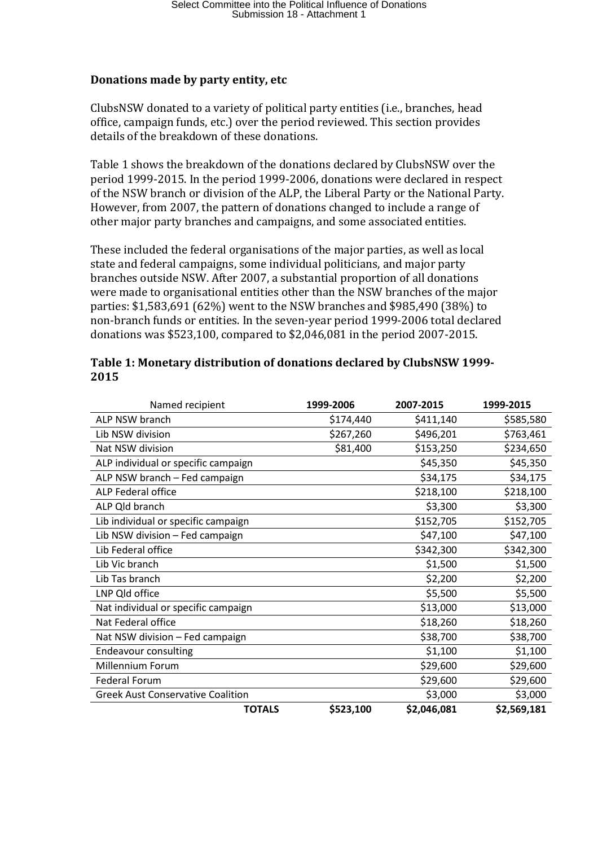#### **Donations made by party entity, etc**

ClubsNSW donated to a variety of political party entities (i.e., branches, head office, campaign funds, etc.) over the period reviewed. This section provides details of the breakdown of these donations.

Table 1 shows the breakdown of the donations declared by ClubsNSW over the period 1999-2015. In the period 1999-2006, donations were declared in respect of the NSW branch or division of the ALP, the Liberal Party or the National Party. However, from 2007, the pattern of donations changed to include a range of other major party branches and campaigns, and some associated entities.

These included the federal organisations of the major parties, as well as local state and federal campaigns, some individual politicians, and major party branches outside NSW. After 2007, a substantial proportion of all donations were made to organisational entities other than the NSW branches of the major parties: \$1,583,691 (62%) went to the NSW branches and \$985,490 (38%) to non-branch funds or entities. In the seven-year period 1999-2006 total declared donations was \$523,100, compared to \$2,046,081 in the period 2007-2015.

| Named recipient                          | 1999-2006 | 2007-2015   | 1999-2015   |  |
|------------------------------------------|-----------|-------------|-------------|--|
| ALP NSW branch                           | \$174,440 | \$411,140   | \$585,580   |  |
| Lib NSW division                         | \$267,260 | \$496,201   | \$763,461   |  |
| Nat NSW division                         | \$81,400  | \$153,250   | \$234,650   |  |
| ALP individual or specific campaign      |           | \$45,350    | \$45,350    |  |
| ALP NSW branch - Fed campaign            |           | \$34,175    | \$34,175    |  |
| <b>ALP Federal office</b>                |           | \$218,100   | \$218,100   |  |
| ALP Qld branch                           |           | \$3,300     | \$3,300     |  |
| Lib individual or specific campaign      |           | \$152,705   | \$152,705   |  |
| Lib NSW division - Fed campaign          |           | \$47,100    | \$47,100    |  |
| Lib Federal office                       |           | \$342,300   | \$342,300   |  |
| Lib Vic branch                           |           | \$1,500     | \$1,500     |  |
| Lib Tas branch                           |           | \$2,200     | \$2,200     |  |
| LNP Qld office                           |           | \$5,500     | \$5,500     |  |
| Nat individual or specific campaign      |           | \$13,000    | \$13,000    |  |
| Nat Federal office                       |           | \$18,260    | \$18,260    |  |
| Nat NSW division - Fed campaign          |           | \$38,700    | \$38,700    |  |
| <b>Endeavour consulting</b>              |           | \$1,100     | \$1,100     |  |
| Millennium Forum                         |           | \$29,600    | \$29,600    |  |
| Federal Forum                            |           | \$29,600    | \$29,600    |  |
| <b>Greek Aust Conservative Coalition</b> |           | \$3,000     | \$3,000     |  |
| <b>TOTALS</b>                            | \$523,100 | \$2,046,081 | \$2,569,181 |  |

#### **Table 1: Monetary distribution of donations declared by ClubsNSW 1999- 2015**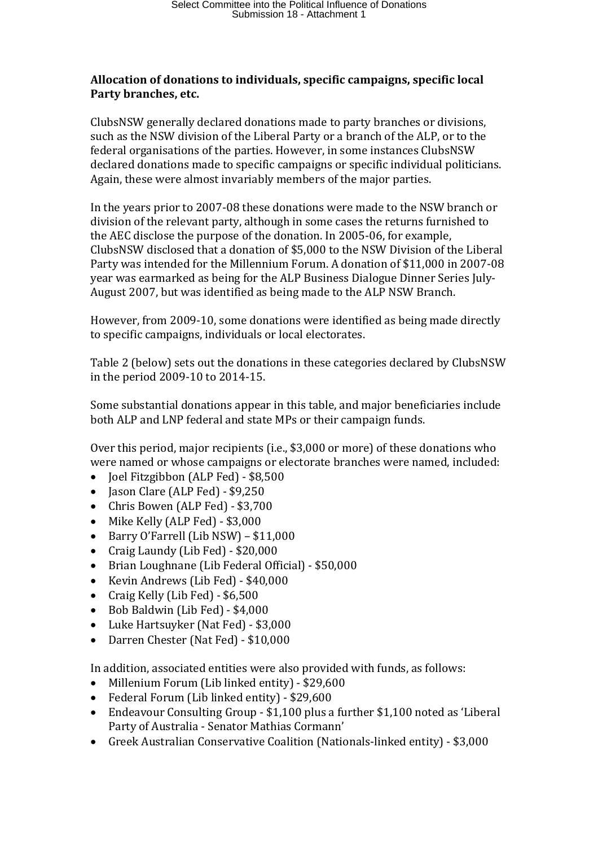#### **Allocation of donations to individuals, specific campaigns, specific local Party branches, etc.**

ClubsNSW generally declared donations made to party branches or divisions, such as the NSW division of the Liberal Party or a branch of the ALP, or to the federal organisations of the parties. However, in some instances ClubsNSW declared donations made to specific campaigns or specific individual politicians. Again, these were almost invariably members of the major parties.

In the years prior to 2007-08 these donations were made to the NSW branch or division of the relevant party, although in some cases the returns furnished to the AEC disclose the purpose of the donation. In 2005-06, for example, ClubsNSW disclosed that a donation of \$5,000 to the NSW Division of the Liberal Party was intended for the Millennium Forum. A donation of \$11,000 in 2007-08 year was earmarked as being for the ALP Business Dialogue Dinner Series July-August 2007, but was identified as being made to the ALP NSW Branch.

However, from 2009-10, some donations were identified as being made directly to specific campaigns, individuals or local electorates.

Table 2 (below) sets out the donations in these categories declared by ClubsNSW in the period 2009-10 to 2014-15.

Some substantial donations appear in this table, and major beneficiaries include both ALP and LNP federal and state MPs or their campaign funds.

Over this period, major recipients (i.e., \$3,000 or more) of these donations who were named or whose campaigns or electorate branches were named, included:

- Joel Fitzgibbon (ALP Fed) \$8,500
- Jason Clare (ALP Fed) \$9,250
- Chris Bowen (ALP Fed) \$3,700
- Mike Kelly (ALP Fed) \$3,000
- Barry O'Farrell (Lib NSW) \$11,000
- Craig Laundy (Lib Fed) \$20,000
- Brian Loughnane (Lib Federal Official) \$50,000
- Kevin Andrews (Lib Fed) \$40,000
- Craig Kelly (Lib Fed) \$6,500
- Bob Baldwin (Lib Fed) \$4,000
- Luke Hartsuyker (Nat Fed) \$3,000<br>• Darren Chester (Nat Fed) \$10.000
- Darren Chester (Nat Fed) \$10,000

In addition, associated entities were also provided with funds, as follows:

- Millenium Forum (Lib linked entity) \$29,600
- Federal Forum (Lib linked entity) \$29,600
- Endeavour Consulting Group \$1,100 plus a further \$1,100 noted as 'Liberal Party of Australia - Senator Mathias Cormann'
- Greek Australian Conservative Coalition (Nationals-linked entity) \$3,000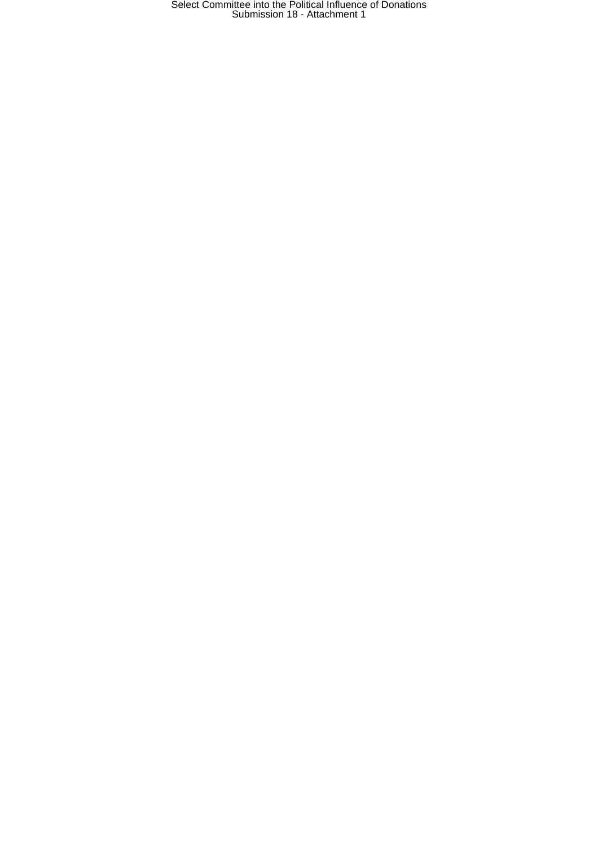Select Committee into the Political Influence of Donations Submission 18 - Attachment 1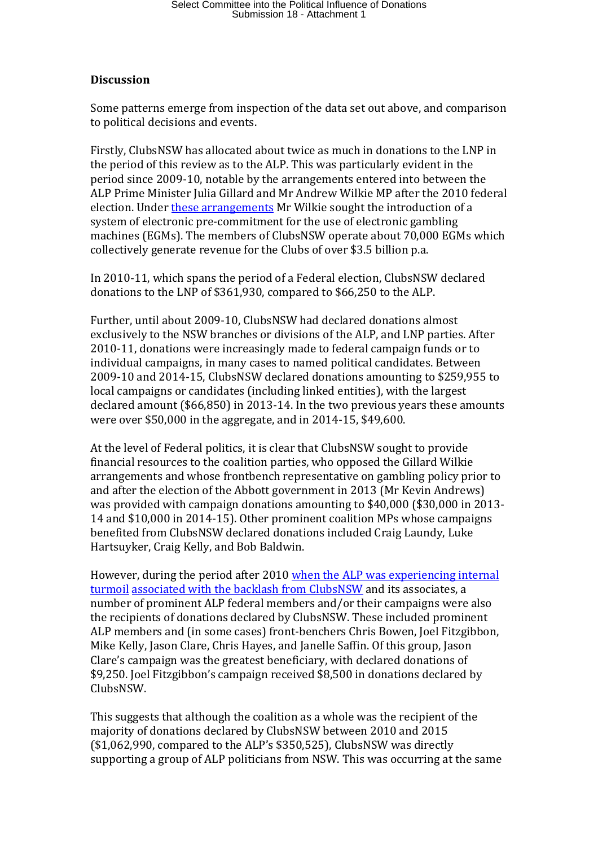## **Discussion**

Some patterns emerge from inspection of the data set out above, and comparison to political decisions and events.

Firstly, ClubsNSW has allocated about twice as much in donations to the LNP in the period of this review as to the ALP. This was particularly evident in the period since 2009-10, notable by the arrangements entered into between the ALP Prime Minister Julia Gillard and Mr Andrew Wilkie MP after the 2010 federal election. Under [these arrangements](http://www.abc.net.au/am/content/2010/s3001404.htm) Mr Wilkie sought the introduction of a system of electronic pre-commitment for the use of electronic gambling machines (EGMs). The members of ClubsNSW operate about 70,000 EGMs which collectively generate revenue for the Clubs of over \$3.5 billion p.a.

In 2010-11, which spans the period of a Federal election, ClubsNSW declared donations to the LNP of \$361,930, compared to \$66,250 to the ALP.

Further, until about 2009-10, ClubsNSW had declared donations almost exclusively to the NSW branches or divisions of the ALP, and LNP parties. After 2010-11, donations were increasingly made to federal campaign funds or to individual campaigns, in many cases to named political candidates. Between 2009-10 and 2014-15, ClubsNSW declared donations amounting to \$259,955 to local campaigns or candidates (including linked entities), with the largest declared amount (\$66,850) in 2013-14. In the two previous years these amounts were over \$50,000 in the aggregate, and in 2014-15, \$49,600.

At the level of Federal politics, it is clear that ClubsNSW sought to provide financial resources to the coalition parties, who opposed the Gillard Wilkie arrangements and whose frontbench representative on gambling policy prior to and after the election of the Abbott government in 2013 (Mr Kevin Andrews) was provided with campaign donations amounting to \$40,000 (\$30,000 in 2013- 14 and \$10,000 in 2014-15). Other prominent coalition MPs whose campaigns benefited from ClubsNSW declared donations included Craig Laundy, Luke Hartsuyker, Craig Kelly, and Bob Baldwin.

However, during the period after 2010 [when the ALP was experiencing internal](http://www.armidaleexpress.com.au/story/935470/labor-mps-revolt-over-pokies-deal/)  [turmoil](http://www.armidaleexpress.com.au/story/935470/labor-mps-revolt-over-pokies-deal/) [associated with the backlash from ClubsNSW](https://au.news.yahoo.com/thewest/a/12996948/clubs-confirm-pokie-reforms-meeting/) and its associates, a number of prominent ALP federal members and/or their campaigns were also the recipients of donations declared by ClubsNSW. These included prominent ALP members and (in some cases) front-benchers Chris Bowen, Joel Fitzgibbon, Mike Kelly, Jason Clare, Chris Hayes, and Janelle Saffin. Of this group, Jason Clare's campaign was the greatest beneficiary, with declared donations of \$9,250. Joel Fitzgibbon's campaign received \$8,500 in donations declared by ClubsNSW.

This suggests that although the coalition as a whole was the recipient of the majority of donations declared by ClubsNSW between 2010 and 2015 (\$1,062,990, compared to the ALP's \$350,525), ClubsNSW was directly supporting a group of ALP politicians from NSW. This was occurring at the same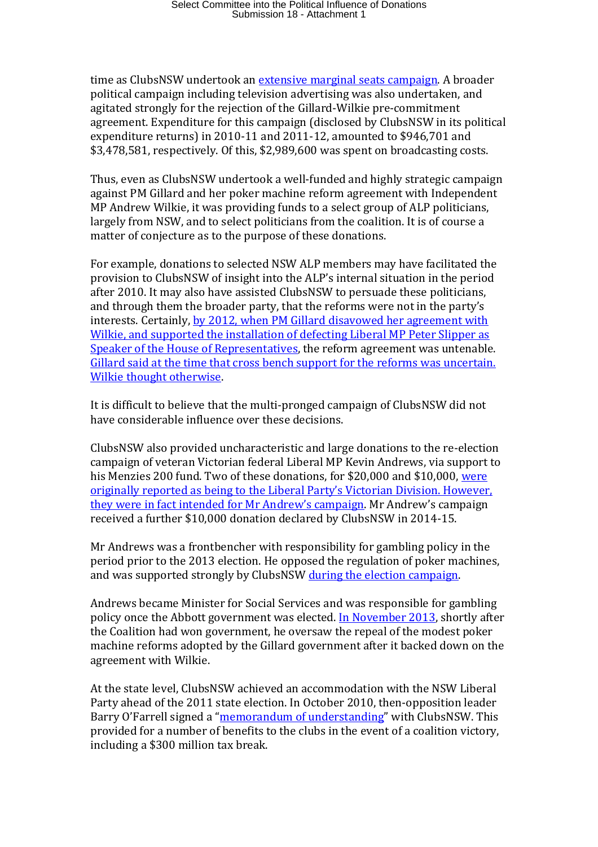time as ClubsNSW undertook an [extensive marginal seats campaign.](http://insidestory.org.au/the-lobby-group-that-got-much-more-bang-for-its-buck/) A broader political campaign including television advertising was also undertaken, and agitated strongly for the rejection of the Gillard-Wilkie pre-commitment agreement. Expenditure for this campaign (disclosed by ClubsNSW in its political expenditure returns) in 2010-11 and 2011-12, amounted to \$946,701 and \$3,478,581, respectively. Of this, \$2,989,600 was spent on broadcasting costs.

Thus, even as ClubsNSW undertook a well-funded and highly strategic campaign against PM Gillard and her poker machine reform agreement with Independent MP Andrew Wilkie, it was providing funds to a select group of ALP politicians, largely from NSW, and to select politicians from the coalition. It is of course a matter of conjecture as to the purpose of these donations.

For example, donations to selected NSW ALP members may have facilitated the provision to ClubsNSW of insight into the ALP's internal situation in the period after 2010. It may also have assisted ClubsNSW to persuade these politicians, and through them the broader party, that the reforms were not in the party's interests. Certainly, [by 2012, when PM Gillard disavowed](http://www.smh.com.au/federal-politics/political-opinion/wilkie-blow-not-lethal-for-labor-20120122-1qc9d.html) her agreement with [Wilkie, and supported the installation of defecting Liberal MP Peter Slipper as](http://www.smh.com.au/federal-politics/political-opinion/wilkie-blow-not-lethal-for-labor-20120122-1qc9d.html)  [Speaker of the House of Representatives,](http://www.smh.com.au/federal-politics/political-opinion/wilkie-blow-not-lethal-for-labor-20120122-1qc9d.html) the reform agreement was untenable. [Gillard said at the time that cross bench support for the reforms was uncertain.](http://www.abc.net.au/news/2012-01-23/gillard-defends-pokies-trial/3787500)  [Wilkie thought otherwise.](http://www.abc.net.au/news/2012-01-23/gillard-defends-pokies-trial/3787500)

It is difficult to believe that the multi-pronged campaign of ClubsNSW did not have considerable influence over these decisions.

ClubsNSW also provided uncharacteristic and large donations to the re-election campaign of veteran Victorian federal Liberal MP Kevin Andrews, via support to his Menzies 200 fund. Two of these donations, for \$20,000 and \$10,000, were [originally reported as being to the Liberal Party's Victorian Division. However,](http://periodicdisclosures.aec.gov.au/Donor.aspx?SubmissionId=55&ClientId=16043)  they were in fact intended [for Mr Andrew's campaign.](http://periodicdisclosures.aec.gov.au/Donor.aspx?SubmissionId=55&ClientId=16043) Mr Andrew's campaign received a further \$10,000 donation declared by ClubsNSW in 2014-15.

Mr Andrews was a frontbencher with responsibility for gambling policy in the period prior to the 2013 election. He opposed the regulation of poker machines, and was supported strongly by ClubsNSW during [the election campaign.](http://www.canberratimes.com.au/video/video-news/video-national-news/clubs-nsw-paid-20000-to-support-kevin-andrews-20150727-3zyr6)

Andrews became Minister for Social Services and was responsible for gambling policy once the Abbott government was elected. [In November 2013,](http://www.aph.gov.au/About_Parliament/Parliamentary_Departments/Parliamentary_Library/FlagPost/2013/November/Gambling_reforms_to_be_wound_back) shortly after the Coalition had won government, he oversaw the repeal of the modest poker machine reforms adopted by the Gillard government after it backed down on the agreement with Wilkie.

At the state level, ClubsNSW achieved an accommodation with the NSW Liberal Party ahead of the 2011 state election. In October 2010, then-opposition leader Barry O'Farrell signed a ["memorandum of understanding"](http://newsstore.fairfax.com.au/apps/viewDocument.ac;jsessionid=3D1D98B49789B59B0E460BF1B4B74CBE?sy=afr&pb=all_ffx&dt=selectRange&dr=1month&so=relevance&sf=text&sf=headline&rc=10&rm=200&sp=brs&cls=3&clsPage=1&docID=SHD120520F61H12ISQK5) with ClubsNSW. This provided for a number of benefits to the clubs in the event of a coalition victory, including a \$300 million tax break.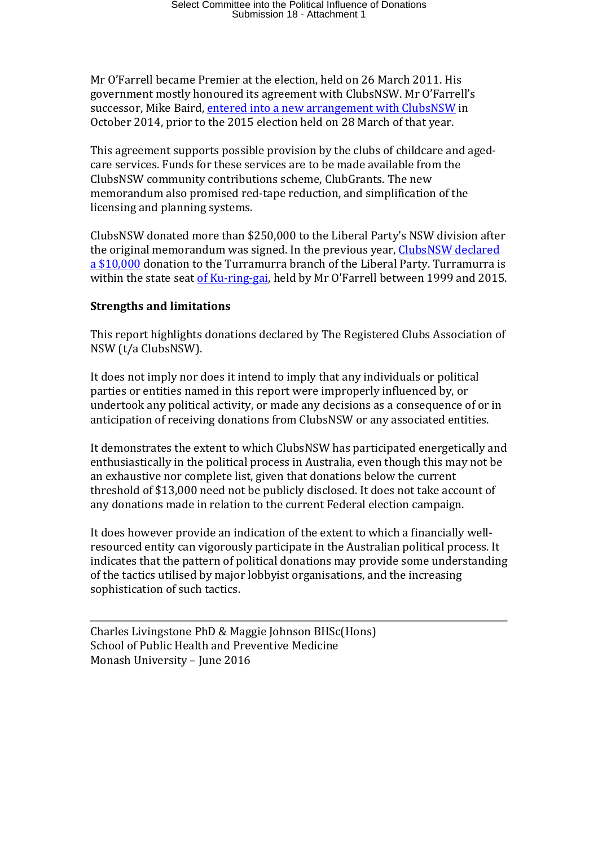Mr O'Farrell became Premier at the election, held on 26 March 2011. His government mostly honoured its agreement with ClubsNSW. Mr O'Farrell's successor, Mike Baird, [entered into a new arrangement with ClubsNSW](http://www.smh.com.au/comment/poker-machine-lobby-signs-another-private-deal-with-nsw-liberals-20141017-117sqy.html) in October 2014, prior to the 2015 election held on 28 March of that year.

This agreement supports possible provision by the clubs of childcare and agedcare services. Funds for these services are to be made available from the ClubsNSW community contributions scheme, ClubGrants. The new memorandum also promised red-tape reduction, and simplification of the licensing and planning systems.

ClubsNSW donated more than \$250,000 to the Liberal Party's NSW division after the original memorandum was signed. In the previous year, [ClubsNSW declared](http://periodicdisclosures.aec.gov.au/Donor.aspx?SubmissionId=24&ClientId=16043)  [a \\$10,000](http://periodicdisclosures.aec.gov.au/Donor.aspx?SubmissionId=24&ClientId=16043) donation to the Turramurra branch of the Liberal Party. Turramurra is within the state seat [of Ku-ring-gai,](http://www.office.elections.nsw.gov.au/districts/profiles/2015/Ku_ring_gai) held by Mr O'Farrell between 1999 and 2015.

#### **Strengths and limitations**

This report highlights donations declared by The Registered Clubs Association of NSW (t/a ClubsNSW).

It does not imply nor does it intend to imply that any individuals or political parties or entities named in this report were improperly influenced by, or undertook any political activity, or made any decisions as a consequence of or in anticipation of receiving donations from ClubsNSW or any associated entities.

It demonstrates the extent to which ClubsNSW has participated energetically and enthusiastically in the political process in Australia, even though this may not be an exhaustive nor complete list, given that donations below the current threshold of \$13,000 need not be publicly disclosed. It does not take account of any donations made in relation to the current Federal election campaign.

It does however provide an indication of the extent to which a financially wellresourced entity can vigorously participate in the Australian political process. It indicates that the pattern of political donations may provide some understanding of the tactics utilised by major lobbyist organisations, and the increasing sophistication of such tactics.

Charles Livingstone PhD & Maggie Johnson BHSc(Hons) School of Public Health and Preventive Medicine Monash University – June 2016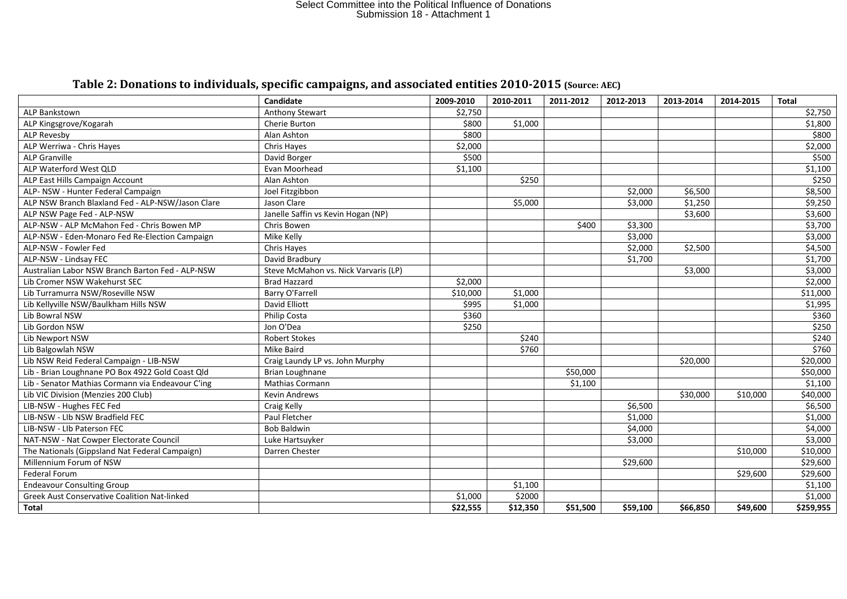# Select Committee into the Political Influence of Donations Submission 18 - Attachment 1

# **Table 2: Donations to individuals, specific campaigns, and associated entities 2010-2015 (Source: AEC)**

|                                                     | Candidate                            | 2009-2010 | 2010-2011 | 2011-2012 | 2012-2013 | 2013-2014 | 2014-2015 | <b>Total</b> |
|-----------------------------------------------------|--------------------------------------|-----------|-----------|-----------|-----------|-----------|-----------|--------------|
| <b>ALP Bankstown</b>                                | Anthony Stewart                      | \$2,750   |           |           |           |           |           | \$2,750      |
| ALP Kingsgrove/Kogarah                              | <b>Cherie Burton</b>                 | \$800     | \$1,000   |           |           |           |           | \$1,800      |
| <b>ALP Revesby</b>                                  | Alan Ashton                          | \$800     |           |           |           |           |           | \$800        |
| ALP Werriwa - Chris Hayes                           | Chris Hayes                          | \$2,000   |           |           |           |           |           | \$2,000      |
| <b>ALP Granville</b>                                | David Borger                         | \$500     |           |           |           |           |           | \$500        |
| ALP Waterford West OLD                              | Evan Moorhead                        | \$1,100   |           |           |           |           |           | \$1,100      |
| ALP East Hills Campaign Account                     | Alan Ashton                          |           | \$250     |           |           |           |           | \$250        |
| ALP- NSW - Hunter Federal Campaign                  | Joel Fitzgibbon                      |           |           |           | \$2,000   | \$6,500   |           | \$8,500      |
| ALP NSW Branch Blaxland Fed - ALP-NSW/Jason Clare   | Jason Clare                          |           | \$5,000   |           | \$3,000   | \$1,250   |           | \$9,250      |
| ALP NSW Page Fed - ALP-NSW                          | Janelle Saffin vs Kevin Hogan (NP)   |           |           |           |           | \$3,600   |           | \$3,600      |
| ALP-NSW - ALP McMahon Fed - Chris Bowen MP          | Chris Bowen                          |           |           | \$400     | \$3,300   |           |           | \$3,700      |
| ALP-NSW - Eden-Monaro Fed Re-Election Campaign      | Mike Kelly                           |           |           |           | \$3,000   |           |           | \$3,000      |
| ALP-NSW - Fowler Fed                                | <b>Chris Hayes</b>                   |           |           |           | \$2,000   | \$2,500   |           | \$4,500      |
| ALP-NSW - Lindsay FEC                               | David Bradbury                       |           |           |           | \$1,700   |           |           | \$1,700      |
| Australian Labor NSW Branch Barton Fed - ALP-NSW    | Steve McMahon vs. Nick Varvaris (LP) |           |           |           |           | \$3,000   |           | \$3,000      |
| Lib Cromer NSW Wakehurst SEC                        | <b>Brad Hazzard</b>                  | \$2,000   |           |           |           |           |           | \$2,000      |
| Lib Turramurra NSW/Roseville NSW                    | Barry O'Farrell                      | \$10,000  | \$1,000   |           |           |           |           | \$11,000     |
| Lib Kellyville NSW/Baulkham Hills NSW               | David Elliott                        | \$995     | \$1,000   |           |           |           |           | \$1,995      |
| Lib Bowral NSW                                      | Philip Costa                         | \$360     |           |           |           |           |           | \$360        |
| Lib Gordon NSW                                      | Jon O'Dea                            | \$250     |           |           |           |           |           | \$250        |
| Lib Newport NSW                                     | <b>Robert Stokes</b>                 |           | \$240     |           |           |           |           | \$240        |
| Lib Balgowlah NSW                                   | Mike Baird                           |           | \$760     |           |           |           |           | \$760        |
| Lib NSW Reid Federal Campaign - LIB-NSW             | Craig Laundy LP vs. John Murphy      |           |           |           |           | \$20,000  |           | \$20,000     |
| Lib - Brian Loughnane PO Box 4922 Gold Coast Qld    | Brian Loughnane                      |           |           | \$50,000  |           |           |           | \$50,000     |
| Lib - Senator Mathias Cormann via Endeavour C'ing   | <b>Mathias Cormann</b>               |           |           | \$1,100   |           |           |           | \$1,100      |
| Lib VIC Division (Menzies 200 Club)                 | Kevin Andrews                        |           |           |           |           | \$30,000  | \$10,000  | \$40,000     |
| LIB-NSW - Hughes FEC Fed                            | <b>Craig Kelly</b>                   |           |           |           | \$6,500   |           |           | \$6,500      |
| LIB-NSW - LIb NSW Bradfield FEC                     | Paul Fletcher                        |           |           |           | \$1,000   |           |           | \$1,000      |
| LIB-NSW - LIb Paterson FEC                          | <b>Bob Baldwin</b>                   |           |           |           | \$4,000   |           |           | \$4,000      |
| NAT-NSW - Nat Cowper Electorate Council             | Luke Hartsuyker                      |           |           |           | \$3,000   |           |           | \$3,000      |
| The Nationals (Gippsland Nat Federal Campaign)      | Darren Chester                       |           |           |           |           |           | \$10,000  | \$10,000     |
| Millennium Forum of NSW                             |                                      |           |           |           | \$29,600  |           |           | \$29,600     |
| <b>Federal Forum</b>                                |                                      |           |           |           |           |           | \$29,600  | \$29,600     |
| <b>Endeavour Consulting Group</b>                   |                                      |           | \$1,100   |           |           |           |           | \$1,100      |
| <b>Greek Aust Conservative Coalition Nat-linked</b> |                                      | \$1,000   | \$2000    |           |           |           |           | \$1,000      |
| <b>Total</b>                                        |                                      | \$22,555  | \$12,350  | \$51,500  | \$59,100  | \$66,850  | \$49,600  | \$259,955    |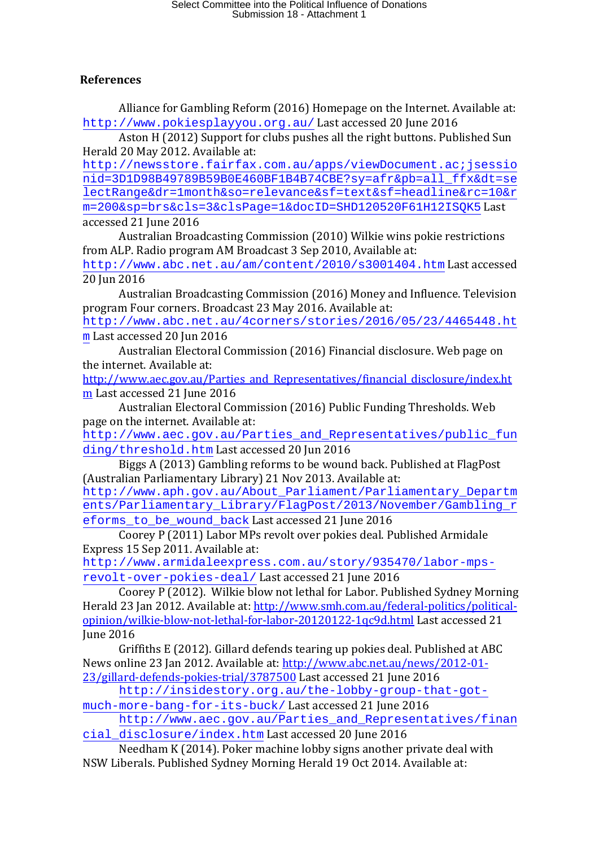# **References**

Alliance for Gambling Reform (2016) Homepage on the Internet. Available at: <http://www.pokiesplayyou.org.au/> Last accessed 20 June 2016

Aston H (2012) Support for clubs pushes all the right buttons. Published Sun Herald 20 May 2012. Available at:

[http://newsstore.fairfax.com.au/apps/viewDocument.ac;jsessio](http://newsstore.fairfax.com.au/apps/viewDocument.ac;jsessionid=3D1D98B49789B59B0E460BF1B4B74CBE?sy=afr&pb=all_ffx&dt=selectRange&dr=1month&so=relevance&sf=text&sf=headline&rc=10&rm=200&sp=brs&cls=3&clsPage=1&docID=SHD120520F61H12ISQK5) [nid=3D1D98B49789B59B0E460BF1B4B74CBE?sy=afr&pb=all\\_ffx&dt=se](http://newsstore.fairfax.com.au/apps/viewDocument.ac;jsessionid=3D1D98B49789B59B0E460BF1B4B74CBE?sy=afr&pb=all_ffx&dt=selectRange&dr=1month&so=relevance&sf=text&sf=headline&rc=10&rm=200&sp=brs&cls=3&clsPage=1&docID=SHD120520F61H12ISQK5) [lectRange&dr=1month&so=relevance&sf=text&sf=headline&rc=10&r](http://newsstore.fairfax.com.au/apps/viewDocument.ac;jsessionid=3D1D98B49789B59B0E460BF1B4B74CBE?sy=afr&pb=all_ffx&dt=selectRange&dr=1month&so=relevance&sf=text&sf=headline&rc=10&rm=200&sp=brs&cls=3&clsPage=1&docID=SHD120520F61H12ISQK5) [m=200&sp=brs&cls=3&clsPage=1&docID=SHD120520F61H12ISQK5](http://newsstore.fairfax.com.au/apps/viewDocument.ac;jsessionid=3D1D98B49789B59B0E460BF1B4B74CBE?sy=afr&pb=all_ffx&dt=selectRange&dr=1month&so=relevance&sf=text&sf=headline&rc=10&rm=200&sp=brs&cls=3&clsPage=1&docID=SHD120520F61H12ISQK5) Last accessed 21 June 2016

Australian Broadcasting Commission (2010) Wilkie wins pokie restrictions from ALP. Radio program AM Broadcast 3 Sep 2010, Available at:

<http://www.abc.net.au/am/content/2010/s3001404.htm> Last accessed 20 Jun 2016

Australian Broadcasting Commission (2016) Money and Influence. Television program Four corners. Broadcast 23 May 2016. Available at:

[http://www.abc.net.au/4corners/stories/2016/05/23/4465448.ht](http://www.abc.net.au/4corners/stories/2016/05/23/4465448.htm) [m](http://www.abc.net.au/4corners/stories/2016/05/23/4465448.htm) Last accessed 20 Jun 2016

Australian Electoral Commission (2016) Financial disclosure. Web page on the internet. Available at:

http://www.aec.gov.au/Parties and Representatives/financial disclosure/index.ht [m](http://www.aec.gov.au/Parties_and_Representatives/financial_disclosure/index.htm) Last accessed 21 June 2016

Australian Electoral Commission (2016) Public Funding Thresholds. Web page on the internet. Available at:

http://www.aec.gov.au/Parties and Representatives/public fun [ding/threshold.htm](http://www.aec.gov.au/Parties_and_Representatives/public_funding/threshold.htm) Last accessed 20 Jun 2016

Biggs A (2013) Gambling reforms to be wound back. Published at FlagPost (Australian Parliamentary Library) 21 Nov 2013. Available at:

[http://www.aph.gov.au/About\\_Parliament/Parliamentary\\_Departm](http://www.aph.gov.au/About_Parliament/Parliamentary_Departments/Parliamentary_Library/FlagPost/2013/November/Gambling_reforms_to_be_wound_back) [ents/Parliamentary\\_Library/FlagPost/2013/November/Gambling\\_r](http://www.aph.gov.au/About_Parliament/Parliamentary_Departments/Parliamentary_Library/FlagPost/2013/November/Gambling_reforms_to_be_wound_back) [eforms\\_to\\_be\\_wound\\_back](http://www.aph.gov.au/About_Parliament/Parliamentary_Departments/Parliamentary_Library/FlagPost/2013/November/Gambling_reforms_to_be_wound_back) Last accessed 21 June 2016

Coorey P (2011) Labor MPs revolt over pokies deal. Published Armidale Express 15 Sep 2011. Available at:

[http://www.armidaleexpress.com.au/story/935470/labor-mps](http://www.armidaleexpress.com.au/story/935470/labor-mps-revolt-over-pokies-deal/)[revolt-over-pokies-deal/](http://www.armidaleexpress.com.au/story/935470/labor-mps-revolt-over-pokies-deal/) Last accessed 21 June 2016

Coorey P (2012). Wilkie blow not lethal for Labor. Published Sydney Morning Herald 23 Jan 2012. Available at: [http://www.smh.com.au/federal-politics/political](http://www.smh.com.au/federal-politics/political-opinion/wilkie-blow-not-lethal-for-labor-20120122-1qc9d.html)[opinion/wilkie-blow-not-lethal-for-labor-20120122-1qc9d.html](http://www.smh.com.au/federal-politics/political-opinion/wilkie-blow-not-lethal-for-labor-20120122-1qc9d.html) Last accessed 21 June 2016

Griffiths E (2012). Gillard defends tearing up pokies deal. Published at ABC News online 23 Jan 2012. Available at[: http://www.abc.net.au/news/2012-01-](http://www.abc.net.au/news/2012-01-23/gillard-defends-pokies-trial/3787500) [23/gillard-defends-pokies-trial/3787500](http://www.abc.net.au/news/2012-01-23/gillard-defends-pokies-trial/3787500) Last accessed 21 June 2016

[http://insidestory.org.au/the-lobby-group-that-got](http://insidestory.org.au/the-lobby-group-that-got-much-more-bang-for-its-buck/)[much-more-bang-for-its-buck/](http://insidestory.org.au/the-lobby-group-that-got-much-more-bang-for-its-buck/) Last accessed 21 June 2016

[http://www.aec.gov.au/Parties\\_and\\_Representatives/finan](http://www.aec.gov.au/Parties_and_Representatives/financial_disclosure/index.htm) [cial\\_disclosure/index.htm](http://www.aec.gov.au/Parties_and_Representatives/financial_disclosure/index.htm) Last accessed 20 June 2016

Needham K (2014). Poker machine lobby signs another private deal with NSW Liberals. Published Sydney Morning Herald 19 Oct 2014. Available at: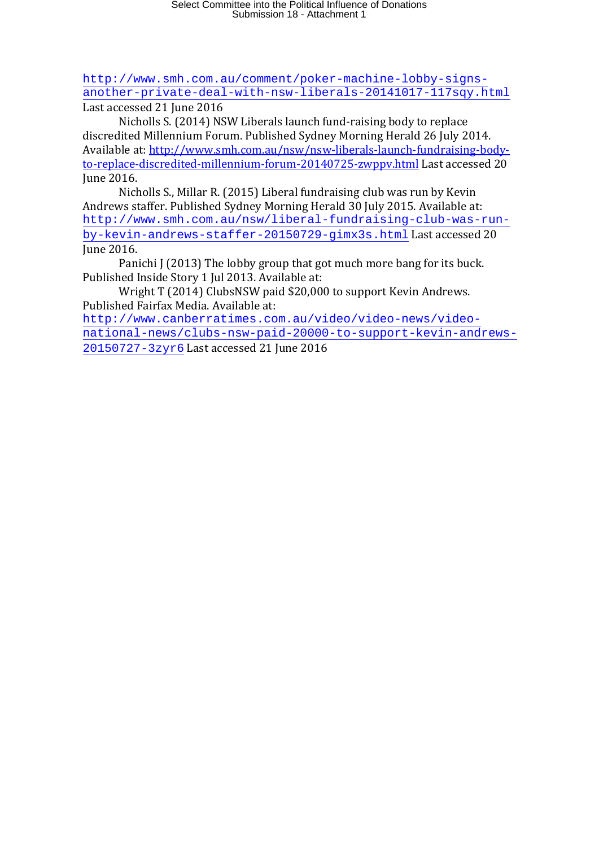[http://www.smh.com.au/comment/poker-machine-lobby-signs](http://www.smh.com.au/comment/poker-machine-lobby-signs-another-private-deal-with-nsw-liberals-20141017-117sqy.html)[another-private-deal-with-nsw-liberals-20141017-117sqy.html](http://www.smh.com.au/comment/poker-machine-lobby-signs-another-private-deal-with-nsw-liberals-20141017-117sqy.html) Last accessed 21 June 2016

Nicholls S. (2014) NSW Liberals launch fund-raising body to replace discredited Millennium Forum. Published Sydney Morning Herald 26 July 2014. Available at: [http://www.smh.com.au/nsw/nsw-liberals-launch-fundraising-body](http://www.smh.com.au/nsw/nsw-liberals-launch-fundraising-body-to-replace-discredited-millennium-forum-20140725-zwppv.html)[to-replace-discredited-millennium-forum-20140725-zwppv.html](http://www.smh.com.au/nsw/nsw-liberals-launch-fundraising-body-to-replace-discredited-millennium-forum-20140725-zwppv.html) Last accessed 20 June 2016.

Nicholls S., Millar R. (2015) Liberal fundraising club was run by Kevin Andrews staffer. Published Sydney Morning Herald 30 July 2015. Available at: [http://www.smh.com.au/nsw/liberal-fundraising-club-was-run](http://www.smh.com.au/nsw/liberal-fundraising-club-was-run-by-kevin-andrews-staffer-20150729-gimx3s.html)[by-kevin-andrews-staffer-20150729-gimx3s.html](http://www.smh.com.au/nsw/liberal-fundraising-club-was-run-by-kevin-andrews-staffer-20150729-gimx3s.html) Last accessed 20 June 2016.

Panichi J (2013) The lobby group that got much more bang for its buck. Published Inside Story 1 Jul 2013. Available at:

Wright T (2014) ClubsNSW paid \$20,000 to support Kevin Andrews. Published Fairfax Media. Available at:

[http://www.canberratimes.com.au/video/video-news/video](http://www.canberratimes.com.au/video/video-news/video-national-news/clubs-nsw-paid-20000-to-support-kevin-andrews-20150727-3zyr6)[national-news/clubs-nsw-paid-20000-to-support-kevin-andrews-](http://www.canberratimes.com.au/video/video-news/video-national-news/clubs-nsw-paid-20000-to-support-kevin-andrews-20150727-3zyr6)[20150727-3zyr6](http://www.canberratimes.com.au/video/video-news/video-national-news/clubs-nsw-paid-20000-to-support-kevin-andrews-20150727-3zyr6) Last accessed 21 June 2016